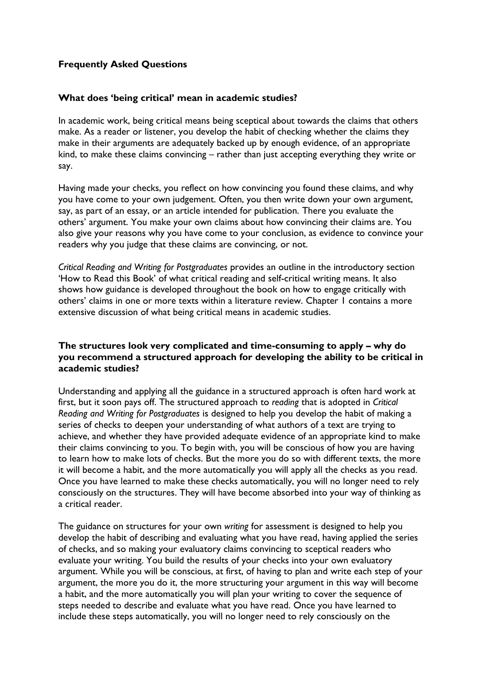## **Frequently Asked Questions**

### **What does 'being critical' mean in academic studies?**

In academic work, being critical means being sceptical about towards the claims that others make. As a reader or listener, you develop the habit of checking whether the claims they make in their arguments are adequately backed up by enough evidence, of an appropriate kind, to make these claims convincing – rather than just accepting everything they write or say.

Having made your checks, you reflect on how convincing you found these claims, and why you have come to your own judgement. Often, you then write down your own argument, say, as part of an essay, or an article intended for publication. There you evaluate the others' argument. You make your own claims about how convincing their claims are. You also give your reasons why you have come to your conclusion, as evidence to convince your readers why you judge that these claims are convincing, or not.

*Critical Reading and Writing for Postgraduates* provides an outline in the introductory section 'How to Read this Book' of what critical reading and self-critical writing means. It also shows how guidance is developed throughout the book on how to engage critically with others' claims in one or more texts within a literature review. Chapter 1 contains a more extensive discussion of what being critical means in academic studies.

### **The structures look very complicated and time-consuming to apply – why do you recommend a structured approach for developing the ability to be critical in academic studies?**

Understanding and applying all the guidance in a structured approach is often hard work at first, but it soon pays off. The structured approach to *reading* that is adopted in *Critical Reading and Writing for Postgraduates* is designed to help you develop the habit of making a series of checks to deepen your understanding of what authors of a text are trying to achieve, and whether they have provided adequate evidence of an appropriate kind to make their claims convincing to you. To begin with, you will be conscious of how you are having to learn how to make lots of checks. But the more you do so with different texts, the more it will become a habit, and the more automatically you will apply all the checks as you read. Once you have learned to make these checks automatically, you will no longer need to rely consciously on the structures. They will have become absorbed into your way of thinking as a critical reader.

The guidance on structures for your own *writing* for assessment is designed to help you develop the habit of describing and evaluating what you have read, having applied the series of checks, and so making your evaluatory claims convincing to sceptical readers who evaluate your writing. You build the results of your checks into your own evaluatory argument. While you will be conscious, at first, of having to plan and write each step of your argument, the more you do it, the more structuring your argument in this way will become a habit, and the more automatically you will plan your writing to cover the sequence of steps needed to describe and evaluate what you have read. Once you have learned to include these steps automatically, you will no longer need to rely consciously on the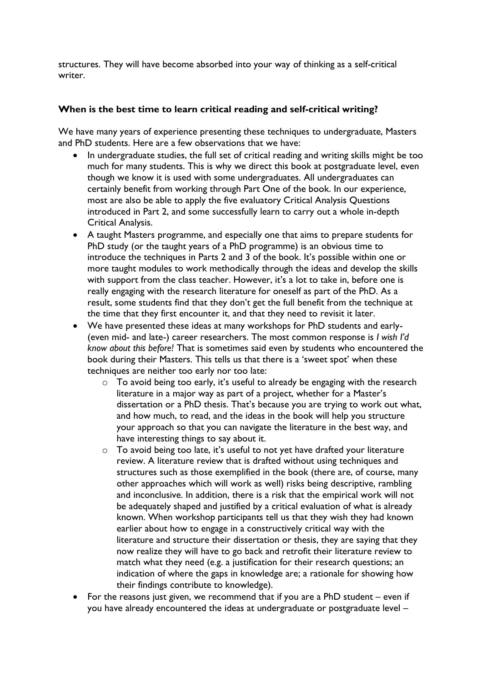structures. They will have become absorbed into your way of thinking as a self-critical writer.

## **When is the best time to learn critical reading and self-critical writing?**

We have many years of experience presenting these techniques to undergraduate, Masters and PhD students. Here are a few observations that we have:

- In undergraduate studies, the full set of critical reading and writing skills might be too much for many students. This is why we direct this book at postgraduate level, even though we know it is used with some undergraduates. All undergraduates can certainly benefit from working through Part One of the book. In our experience, most are also be able to apply the five evaluatory Critical Analysis Questions introduced in Part 2, and some successfully learn to carry out a whole in-depth Critical Analysis.
- A taught Masters programme, and especially one that aims to prepare students for PhD study (or the taught years of a PhD programme) is an obvious time to introduce the techniques in Parts 2 and 3 of the book. It's possible within one or more taught modules to work methodically through the ideas and develop the skills with support from the class teacher. However, it's a lot to take in, before one is really engaging with the research literature for oneself as part of the PhD. As a result, some students find that they don't get the full benefit from the technique at the time that they first encounter it, and that they need to revisit it later.
- We have presented these ideas at many workshops for PhD students and early- (even mid- and late-) career researchers. The most common response is *I wish I'd know about this before!* That is sometimes said even by students who encountered the book during their Masters. This tells us that there is a 'sweet spot' when these techniques are neither too early nor too late:
	- o To avoid being too early, it's useful to already be engaging with the research literature in a major way as part of a project, whether for a Master's dissertation or a PhD thesis. That's because you are trying to work out what, and how much, to read, and the ideas in the book will help you structure your approach so that you can navigate the literature in the best way, and have interesting things to say about it.
	- o To avoid being too late, it's useful to not yet have drafted your literature review. A literature review that is drafted without using techniques and structures such as those exemplified in the book (there are, of course, many other approaches which will work as well) risks being descriptive, rambling and inconclusive. In addition, there is a risk that the empirical work will not be adequately shaped and justified by a critical evaluation of what is already known. When workshop participants tell us that they wish they had known earlier about how to engage in a constructively critical way with the literature and structure their dissertation or thesis, they are saying that they now realize they will have to go back and retrofit their literature review to match what they need (e.g. a justification for their research questions; an indication of where the gaps in knowledge are; a rationale for showing how their findings contribute to knowledge).
- For the reasons just given, we recommend that if you are a PhD student even if you have already encountered the ideas at undergraduate or postgraduate level –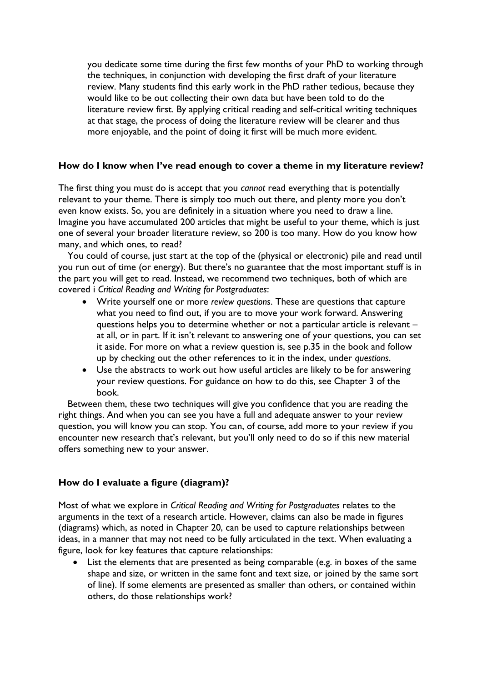you dedicate some time during the first few months of your PhD to working through the techniques, in conjunction with developing the first draft of your literature review. Many students find this early work in the PhD rather tedious, because they would like to be out collecting their own data but have been told to do the literature review first. By applying critical reading and self-critical writing techniques at that stage, the process of doing the literature review will be clearer and thus more enjoyable, and the point of doing it first will be much more evident.

### **How do I know when I've read enough to cover a theme in my literature review?**

The first thing you must do is accept that you *cannot* read everything that is potentially relevant to your theme. There is simply too much out there, and plenty more you don't even know exists. So, you are definitely in a situation where you need to draw a line. Imagine you have accumulated 200 articles that might be useful to your theme, which is just one of several your broader literature review, so 200 is too many. How do you know how many, and which ones, to read?

You could of course, just start at the top of the (physical or electronic) pile and read until you run out of time (or energy). But there's no guarantee that the most important stuff is in the part you will get to read. Instead, we recommend two techniques, both of which are covered i *Critical Reading and Writing for Postgraduates*:

- Write yourself one or more *review questions*. These are questions that capture what you need to find out, if you are to move your work forward. Answering questions helps you to determine whether or not a particular article is relevant – at all, or in part. If it isn't relevant to answering one of your questions, you can set it aside. For more on what a review question is, see p.35 in the book and follow up by checking out the other references to it in the index, under *questions*.
- Use the abstracts to work out how useful articles are likely to be for answering your review questions. For guidance on how to do this, see Chapter 3 of the book.

Between them, these two techniques will give you confidence that you are reading the right things. And when you can see you have a full and adequate answer to your review question, you will know you can stop. You can, of course, add more to your review if you encounter new research that's relevant, but you'll only need to do so if this new material offers something new to your answer.

### **How do I evaluate a figure (diagram)?**

Most of what we explore in *Critical Reading and Writing for Postgraduates* relates to the arguments in the text of a research article. However, claims can also be made in figures (diagrams) which, as noted in Chapter 20, can be used to capture relationships between ideas, in a manner that may not need to be fully articulated in the text. When evaluating a figure, look for key features that capture relationships:

List the elements that are presented as being comparable (e.g. in boxes of the same shape and size, or written in the same font and text size, or joined by the same sort of line). If some elements are presented as smaller than others, or contained within others, do those relationships work?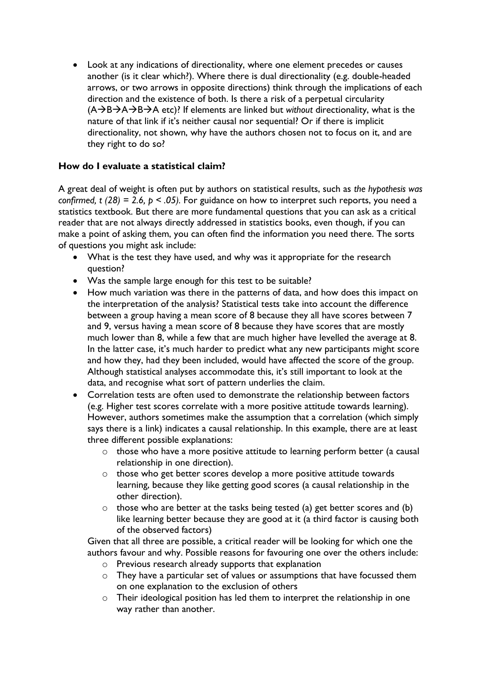• Look at any indications of directionality, where one element precedes or causes another (is it clear which?). Where there is dual directionality (e.g. double-headed arrows, or two arrows in opposite directions) think through the implications of each direction and the existence of both. Is there a risk of a perpetual circularity (A→B→A→B→A etc)? If elements are linked but *without* directionality, what is the nature of that link if it's neither causal nor sequential? Or if there is implicit directionality, not shown, why have the authors chosen not to focus on it, and are they right to do so?

# **How do I evaluate a statistical claim?**

A great deal of weight is often put by authors on statistical results, such as *the hypothesis was confirmed, t (28) = 2.6, p < .05).* For guidance on how to interpret such reports, you need a statistics textbook. But there are more fundamental questions that you can ask as a critical reader that are not always directly addressed in statistics books, even though, if you can make a point of asking them, you can often find the information you need there. The sorts of questions you might ask include:

- What is the test they have used, and why was it appropriate for the research question?
- Was the sample large enough for this test to be suitable?
- How much variation was there in the patterns of data, and how does this impact on the interpretation of the analysis? Statistical tests take into account the difference between a group having a mean score of 8 because they all have scores between 7 and 9, versus having a mean score of 8 because they have scores that are mostly much lower than 8, while a few that are much higher have levelled the average at 8. In the latter case, it's much harder to predict what any new participants might score and how they, had they been included, would have affected the score of the group. Although statistical analyses accommodate this, it's still important to look at the data, and recognise what sort of pattern underlies the claim.
- Correlation tests are often used to demonstrate the relationship between factors (e.g. Higher test scores correlate with a more positive attitude towards learning). However, authors sometimes make the assumption that a correlation (which simply says there is a link) indicates a causal relationship. In this example, there are at least three different possible explanations:
	- o those who have a more positive attitude to learning perform better (a causal relationship in one direction).
	- o those who get better scores develop a more positive attitude towards learning, because they like getting good scores (a causal relationship in the other direction).
	- o those who are better at the tasks being tested (a) get better scores and (b) like learning better because they are good at it (a third factor is causing both of the observed factors)

Given that all three are possible, a critical reader will be looking for which one the authors favour and why. Possible reasons for favouring one over the others include:

- o Previous research already supports that explanation
- o They have a particular set of values or assumptions that have focussed them on one explanation to the exclusion of others
- o Their ideological position has led them to interpret the relationship in one way rather than another.